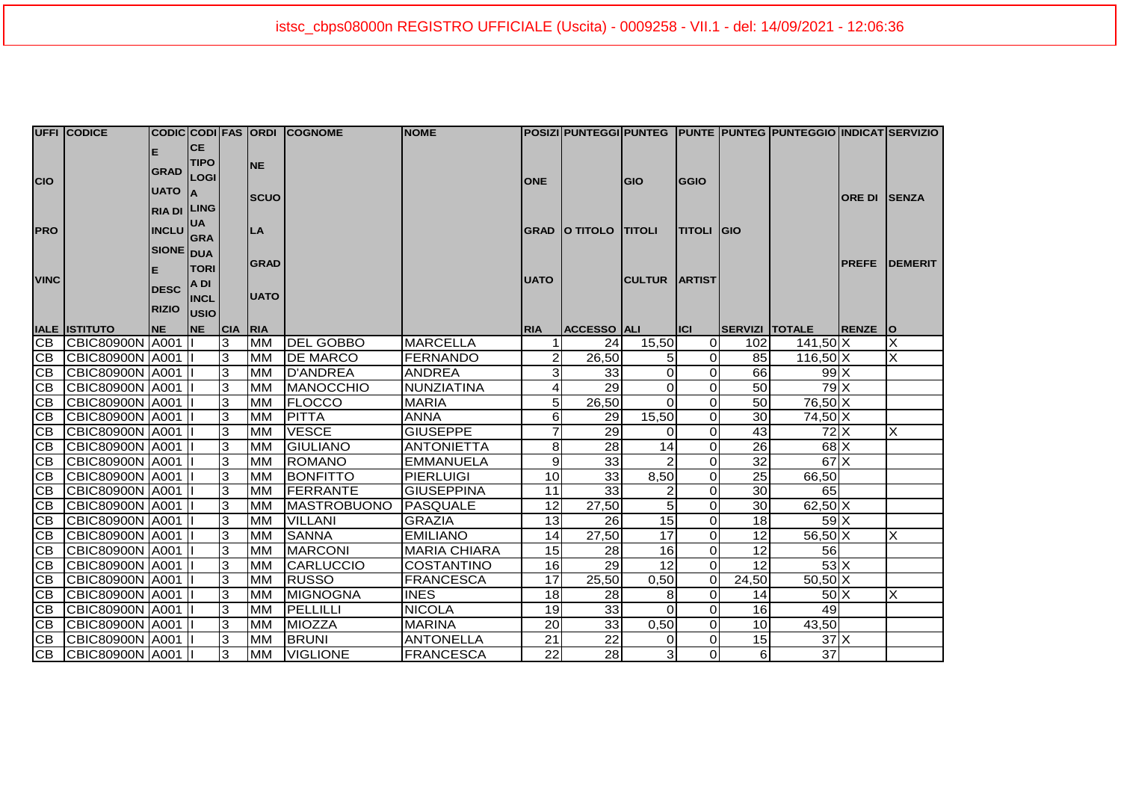|             | <b>UFFI CODICE</b>    |                    |                            |                |             | CODIC CODI FAS ORDI COGNOME | <b>NOME</b>         |                 |                        |                         |                |                         | POSIZI PUNTEGGI PUNTEG PUNTE PUNTEG PUNTEGGIO INDICAT SERVIZIO |                     |                         |
|-------------|-----------------------|--------------------|----------------------------|----------------|-------------|-----------------------------|---------------------|-----------------|------------------------|-------------------------|----------------|-------------------------|----------------------------------------------------------------|---------------------|-------------------------|
|             |                       |                    | <b>CE</b>                  |                |             |                             |                     |                 |                        |                         |                |                         |                                                                |                     |                         |
| <b>CIO</b>  |                       | <b>GRAD</b>        | <b>TIPO</b><br><b>LOGI</b> |                | <b>INE</b>  |                             |                     |                 |                        |                         |                |                         |                                                                |                     |                         |
|             |                       | UATO A             |                            |                |             |                             |                     | <b>ONE</b>      |                        | <b>GIO</b>              | GGIO           |                         |                                                                |                     |                         |
|             |                       | <b>RIA DI LING</b> |                            |                | <b>SCUO</b> |                             |                     |                 |                        |                         |                |                         |                                                                | <b>ORE DI SENZA</b> |                         |
|             |                       |                    | <b>UA</b>                  |                |             |                             |                     |                 |                        |                         |                |                         |                                                                |                     |                         |
| <b>PRO</b>  |                       | <b>INCLU</b>       | <b>GRA</b>                 |                | LA          |                             |                     |                 | GRAD  O TITOLO  TITOLI |                         | <b>TITOLI</b>  | <b>IGIO</b>             |                                                                |                     |                         |
|             |                       | <b>SIONE</b> DUA   |                            |                |             |                             |                     |                 |                        |                         |                |                         |                                                                |                     |                         |
|             |                       |                    | <b>TORI</b>                |                | GRAD        |                             |                     |                 |                        |                         |                |                         |                                                                |                     | <b>PREFE IDEMERIT</b>   |
| <b>VINC</b> |                       | <b>DESC</b>        | A DI                       |                |             |                             |                     | <b>UATO</b>     |                        | <b>CULTUR ARTIST</b>    |                |                         |                                                                |                     |                         |
|             |                       |                    | <b>INCL</b>                |                | <b>UATO</b> |                             |                     |                 |                        |                         |                |                         |                                                                |                     |                         |
|             |                       | <b>RIZIO</b>       | <b>Jusio</b>               |                |             |                             |                     |                 |                        |                         |                |                         |                                                                |                     |                         |
|             | <b>IALE ISTITUTO</b>  | <b>NE</b>          | NE                         | <b>CIA</b>     | RIA         |                             |                     | <b>RIA</b>      | <b>ACCESSO ALI</b>     |                         | <b>ICI</b>     | <b>SERVIZI   TOTALE</b> |                                                                | <b>RENZE O</b>      |                         |
|             | CB CBIC80900N         | A001               |                            | 3              | <b>MM</b>   | <b>DEL GOBBO</b>            | <b>MARCELLA</b>     |                 | 24                     | 15,50                   | $\Omega$       | 102                     | 141,50 X                                                       |                     | X                       |
|             | CB CBIC80900N A001    |                    |                            | 3              | <b>MM</b>   | <b>DE MARCO</b>             | <b>FERNANDO</b>     |                 | 26,50                  | 51                      | $\Omega$       | 85                      | 116,50 X                                                       |                     | $\overline{\mathsf{x}}$ |
| CB          | CBIC80900N 4001       |                    |                            | 3              | <b>MM</b>   | D'ANDREA                    | <b>ANDREA</b>       | 3               | 33                     | $\overline{0}$          | $\Omega$       | 66                      | 99X                                                            |                     |                         |
| CB          | CBIC80900N A001       |                    |                            | 3              | MM          | <b>MANOCCHIO</b>            | NUNZIATINA          | 4               | 29                     | $\overline{O}$          | $\Omega$       | 50                      | 79X                                                            |                     |                         |
| CB          | CBIC80900N 4001       |                    |                            | 3              | <b>MM</b>   | <b>FLOCCO</b>               | <b>MARIA</b>        | 51              | 26,50                  | $\Omega$                | $\Omega$       | 50                      | 76,50 X                                                        |                     |                         |
| CB          | CBIC80900N A001       |                    |                            | 3              | <b>MM</b>   | <b>PITTA</b>                | <b>ANNA</b>         | 6               | 29                     | 15,50                   | $\Omega$       | 30                      | 74,50 X                                                        |                     |                         |
|             | CB CBIC80900N A001    |                    |                            | 3              | <b>MM</b>   | <b>VESCE</b>                | <b>GIUSEPPE</b>     | $\overline{7}$  | 29                     | $\Omega$                | $\Omega$       | 43                      | $72$ $X$                                                       |                     | IX.                     |
|             | CB CBIC80900N A001    |                    |                            | c)             | <b>MM</b>   | <b>GIULIANO</b>             | <b>ANTONIETTA</b>   | 8 <sup>1</sup>  | $\overline{28}$        | 14                      | $\Omega$       | 26                      | $68$ $X$                                                       |                     |                         |
| <b>CB</b>   | CBIC80900N 4001       |                    |                            | 3              | <b>MM</b>   | <b>ROMANO</b>               | <b>EMMANUELA</b>    | 9               | 33                     | $\overline{2}$          | $\Omega$       | 32                      | 67X                                                            |                     |                         |
| <b>CB</b>   | CBIC80900N A001       |                    |                            | $\overline{3}$ | <b>MM</b>   | <b>BONFITTO</b>             | <b>PIERLUIGI</b>    | 10              | 33                     | 8,50                    | $\Omega$       | 25                      | 66,50                                                          |                     |                         |
| CB          | CBIC80900N A001       |                    |                            | Ω              | <b>MM</b>   | <b>FERRANTE</b>             | <b>GIUSEPPINA</b>   | 11              | 33                     | $\overline{2}$          | $\overline{0}$ | 30                      | 65                                                             |                     |                         |
| <b>CB</b>   | CBIC80900N A001       |                    |                            | $\overline{3}$ | <b>MM</b>   | <b>MASTROBUONO</b>          | PASQUALE            | 12              | 27,50                  | 5 <sub>l</sub>          | $\overline{0}$ | 30                      | $62,50$ X                                                      |                     |                         |
|             | CB CBIC80900N A001    |                    |                            | 3              | <b>MM</b>   | <b>VILLANI</b>              | <b>GRAZIA</b>       | 13              | 26                     | 15                      | $\Omega$       | 18 <sup>l</sup>         | 59X                                                            |                     |                         |
|             | CB CBIC80900N A001    |                    |                            | Ω              | <b>MM</b>   | <b>SANNA</b>                | <b>EMILIANO</b>     | $\overline{14}$ | 27,50                  | 17                      | $\Omega$       | 12                      | 56,50 X                                                        |                     | X                       |
| CB          | CBIC80900N A001       |                    |                            | 3              | <b>MM</b>   | <b>MARCONI</b>              | <b>MARIA CHIARA</b> | 15              | 28                     | 16                      | $\Omega$       | 12                      | 56                                                             |                     |                         |
| CB          | CBIC80900N A001       |                    |                            | 3              | <b>MM</b>   | <b>CARLUCCIO</b>            | <b>COSTANTINO</b>   | 16              | 29                     | 12                      | $\Omega$       | 12                      | $53\text{X}$                                                   |                     |                         |
| CB          | CBIC80900N A001       |                    |                            | 3              | MM          | <b>RUSSO</b>                | <b>FRANCESCA</b>    | 17              | 25,50                  | 0,50                    | $\Omega$       | 24,50                   | $50,50$ X                                                      |                     |                         |
| CB          | CBIC80900N A001       |                    |                            | 3              | <b>MM</b>   | <b>MIGNOGNA</b>             | <b>INES</b>         | 18              | 28                     | 8                       | $\Omega$       | 14                      | 50X                                                            |                     | $\times$                |
| CB          | CBIC80900N A001       |                    |                            | 3              | MM          | PELLILLI                    | <b>NICOLA</b>       | 19              | 33                     | $\overline{O}$          | $\Omega$       | 16                      | 49                                                             |                     |                         |
|             | CB CBIC80900N A001    |                    |                            | 3              | <b>MM</b>   | <b>MIOZZA</b>               | <b>MARINA</b>       | 20              | 33                     | 0,50                    | $\Omega$       | 10                      | 43,50                                                          |                     |                         |
|             | CB CBIC80900N A001    |                    |                            | 3              | <b>MM</b>   | <b>BRUNI</b>                | <b>ANTONELLA</b>    | 21              | 22                     | $\overline{0}$          | $\Omega$       | 15                      | 37X                                                            |                     |                         |
|             | CB CBIC80900N A001  I |                    |                            | 3              | <b>MM</b>   | <b>VIGLIONE</b>             | FRANCESCA           | 22              | 28                     | $\overline{\mathbf{3}}$ | $\Omega$       | 61                      | 37                                                             |                     |                         |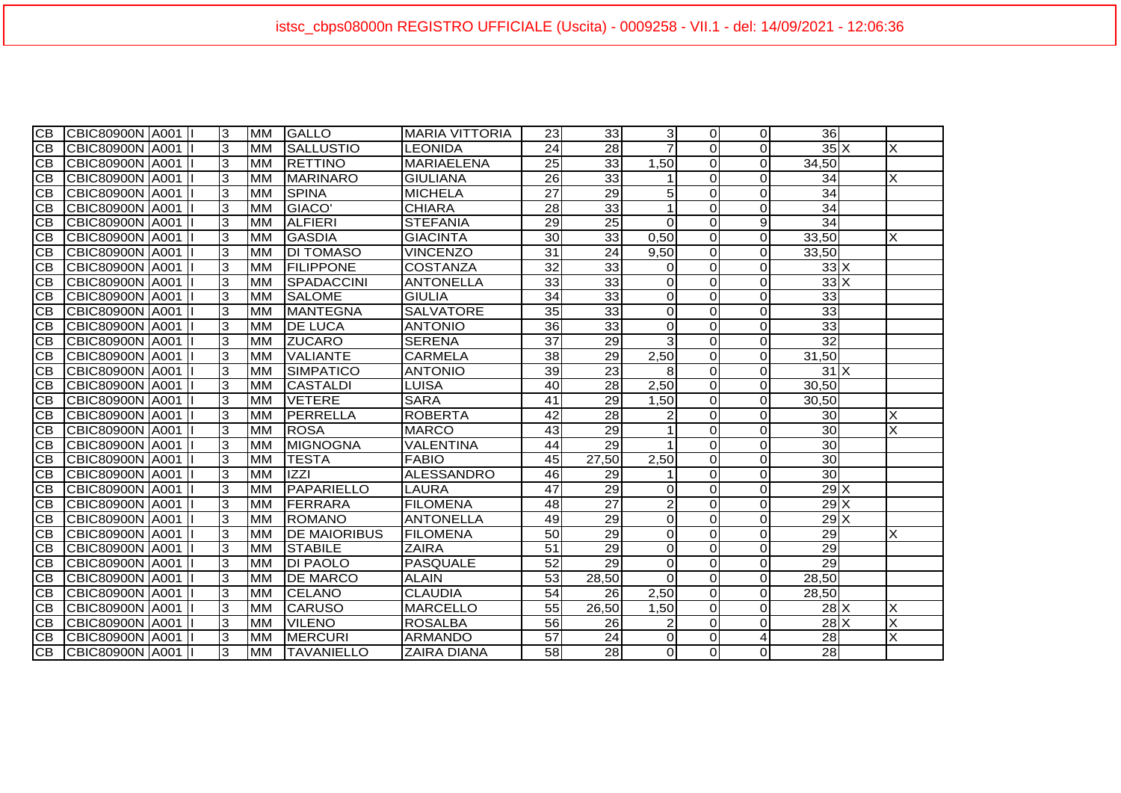| $\overline{CB}$ | CBIC80900N A001        |  | Ι3 | <b>MM</b> | <b>GALLO</b>        | <b>MARIA VITTORIA</b> | 23 <sub>l</sub> | 33              | $\overline{3}$ | $\Omega$       | $\Omega$       | 36                         |                         |
|-----------------|------------------------|--|----|-----------|---------------------|-----------------------|-----------------|-----------------|----------------|----------------|----------------|----------------------------|-------------------------|
| $\overline{CB}$ | CBIC80900N A001        |  | 3  | <b>MM</b> | <b>SALLUSTIO</b>    | LEONIDA               | 24              | $\overline{28}$ |                | Οl             | $\Omega$       | $35\overline{\phantom{a}}$ | X                       |
| <b>CB</b>       | CBIC80900N A001        |  | 3  | <b>MM</b> | <b>IRETTINO</b>     | <b>MARIAELENA</b>     | 25              | 33              | 1,50           | $\Omega$       | $\Omega$       | 34,50                      |                         |
| <b>CB</b>       | CBIC80900N A001        |  | 3  | <b>MM</b> | <b>MARINARO</b>     | <b>GIULIANA</b>       | 26              | 33              |                | $\Omega$       | $\Omega$       | 34                         | X                       |
| $\overline{CB}$ | CBIC80900N A001        |  | 3  | <b>MM</b> | <b>SPINA</b>        | <b>MICHELA</b>        | $\overline{27}$ | 29              | 5 <sub>l</sub> | $\Omega$       | $\Omega$       | $\overline{34}$            |                         |
| $\overline{CB}$ | CBIC80900N A001        |  | 3  | <b>MM</b> | GIACO'              | <b>CHIARA</b>         | 28              | 33              | 1              | $\Omega$       | $\Omega$       | $\overline{34}$            |                         |
| <b>CB</b>       | CBIC80900N A001        |  | 3  | <b>MM</b> | <b>ALFIERI</b>      | <b>STEFANIA</b>       | 29              | 25              | $\Omega$       | $\Omega$       | $\overline{9}$ | 34                         |                         |
| <b>CB</b>       | CBIC80900N A001        |  | 3  | <b>MM</b> | <b>GASDIA</b>       | <b>GIACINTA</b>       | 30 <sub>0</sub> | 33              | 0,50           | $\overline{0}$ | $\Omega$       | 33,50                      | $\times$                |
| <b>CB</b>       | CBIC80900N A001        |  | 3  | <b>MM</b> | <b>DI TOMASO</b>    | <b>VINCENZO</b>       | 31              | 24              | 9,50           | $\Omega$       | $\Omega$       | 33,50                      |                         |
| CB              | CBIC80900N A001        |  | 3  | <b>MM</b> | <b>FILIPPONE</b>    | <b>COSTANZA</b>       | 32              | 33              | $\Omega$       | $\Omega$       | $\Omega$       | 33X                        |                         |
| <b>CB</b>       | CBIC80900N A001        |  | 3  | <b>MM</b> | <b>SPADACCINI</b>   | <b>ANTONELLA</b>      | 33              | 33              | $\Omega$       | $\Omega$       | $\Omega$       | $33\text{X}$               |                         |
| CB              | CBIC80900N A001        |  | 3  | <b>MM</b> | <b>SALOME</b>       | <b>GIULIA</b>         | 34              | 33              | $\overline{O}$ | $\Omega$       | $\overline{0}$ | 33                         |                         |
| CB              | CBIC80900N A001        |  | 3  | <b>MM</b> | <b>MANTEGNA</b>     | <b>SALVATORE</b>      | 35              | 33              | $\Omega$       | $\Omega$       | $\Omega$       | 33                         |                         |
| CB              | CBIC80900N A001        |  | 3  | <b>MM</b> | <b>DE LUCA</b>      | <b>ANTONIO</b>        | 36              | 33              | $\Omega$       | $\Omega$       | $\Omega$       | 33                         |                         |
| CB              | CBIC80900N A001        |  | 3  | MM        | <b>ZUCARO</b>       | <b>SERENA</b>         | $\overline{37}$ | 29              | $\overline{3}$ | $\Omega$       | $\Omega$       | 32                         |                         |
| <b>CB</b>       | CBIC80900N A001        |  | 3  | <b>MM</b> | <b>VALIANTE</b>     | <b>CARMELA</b>        | 38              | 29              | 2,50           | <sup>0</sup>   | $\Omega$       | 31,50                      |                         |
| <b>CB</b>       | CBIC80900N A001        |  | 3  | <b>MM</b> | <b>SIMPATICO</b>    | <b>ANTONIO</b>        | 39              | 23              | 8              | $\Omega$       | $\Omega$       | 31X                        |                         |
| CB              | CBIC80900N A001        |  | 3  | <b>MM</b> | <b>CASTALDI</b>     | LUISA                 | $\overline{40}$ | 28              | 2,50           | $\Omega$       | $\Omega$       | 30,50                      |                         |
| CB              | CBIC80900N A001        |  | 3  | MM        | <b>VETERE</b>       | <b>SARA</b>           | 41              | 29              | 1,50           | $\Omega$       | $\Omega$       | 30,50                      |                         |
| <b>CB</b>       | CBIC80900N A001        |  | 3  | <b>MM</b> | PERRELLA            | <b>ROBERTA</b>        | 42              | 28              | 2              | $\Omega$       | $\Omega$       | 30                         | х                       |
| CB              | CBIC80900N A001        |  | 3  | <b>MM</b> | <b>IROSA</b>        | <b>MARCO</b>          | 43              | 29              |                | Οl             | $\overline{0}$ | 30                         | X                       |
| $\overline{CB}$ | CBIC80900N A001        |  | 3  | <b>MM</b> | <b>MIGNOGNA</b>     | <b>VALENTINA</b>      | 44              | 29              | $\mathbf{1}$   | $\Omega$       | $\Omega$       | 30                         |                         |
| $\overline{CB}$ | CBIC80900N A001        |  | 3  | <b>MM</b> | <b>TESTA</b>        | <b>FABIO</b>          | 45              | 27,50           | 2,50           | $\Omega$       | $\Omega$       | 30                         |                         |
| CB              | CBIC80900N A001        |  | 3  | <b>MM</b> | <b>IZZI</b>         | ALESSANDRO            | 46              | 29              |                | $\Omega$       | $\Omega$       | 30                         |                         |
| <b>CB</b>       | CBIC80900N A001        |  | 3  | <b>MM</b> | PAPARIELLO          | LAURA                 | 47              | 29              | $\overline{0}$ | $\Omega$       | $\Omega$       | 29X                        |                         |
| <b>CB</b>       | CBIC80900N A001        |  | 3  | <b>MM</b> | FERRARA             | <b>FILOMENA</b>       | 48              | $\overline{27}$ | $\overline{2}$ | $\Omega$       | $\Omega$       | 29X                        |                         |
| CB              | <b>CBIC80900N A001</b> |  | 3  | <b>MM</b> | <b>ROMANO</b>       | <b>ANTONELLA</b>      | 49              | 29              | $\overline{0}$ | $\Omega$       | $\Omega$       | 29X                        |                         |
| CB              | CBIC80900N A001        |  | 3  | <b>MM</b> | <b>DE MAIORIBUS</b> | <b>FILOMENA</b>       | 50              | 29              | $\overline{0}$ | $\Omega$       | $\overline{O}$ | 29                         | X                       |
| CB              | CBIC80900N A001        |  | 3  | <b>MM</b> | <b>STABILE</b>      | <b>ZAIRA</b>          | 51              | 29              | $\overline{0}$ | $\overline{0}$ | $\overline{0}$ | 29                         |                         |
| CB              | CBIC80900N A001        |  | 3  | <b>MM</b> | <b>DI PAOLO</b>     | <b>PASQUALE</b>       | 52              | 29              | $\Omega$       | $\Omega$       | $\Omega$       | 29                         |                         |
| CB              | CBIC80900N A001        |  | 3  | <b>MM</b> | <b>DE MARCO</b>     | <b>ALAIN</b>          | $\overline{53}$ | 28,50           | $\Omega$       | ΩI             | $\Omega$       | 28,50                      |                         |
| CB              | CBIC80900N A001        |  | 3  | <b>MM</b> | <b>CELANO</b>       | <b>CLAUDIA</b>        | $\overline{54}$ | 26              | 2,50           | $\Omega$       | $\Omega$       | 28,50                      |                         |
| <b>CB</b>       | CBIC80900N A001        |  | 3  | <b>MM</b> | <b>CARUSO</b>       | <b>MARCELLO</b>       | 55              | 26,50           | 1,50           | $\Omega$       | $\Omega$       | $28$ $\times$              | X                       |
| <b>CB</b>       | CBIC80900N A001        |  | 3  | <b>MM</b> | <b>VILENO</b>       | <b>ROSALBA</b>        | 56              | 26              | $\mathbf{2}$   | $\Omega$       | $\Omega$       | $28$ $X$                   | $\overline{\mathsf{x}}$ |
| <b>CB</b>       | CBIC80900N A001        |  | 3  | <b>MM</b> | <b>MERCURI</b>      | <b>ARMANDO</b>        | 57              | 24              | $\overline{0}$ | $\overline{0}$ | 4              | $\overline{28}$            | $\overline{\mathsf{x}}$ |
| $\overline{CB}$ | CBIC80900N A001        |  | 3  | <b>MM</b> | <b>TAVANIELLO</b>   | <b>ZAIRA DIANA</b>    | 58              | 28              | $\Omega$       | οI             | <sub>0</sub>   | $\overline{28}$            |                         |